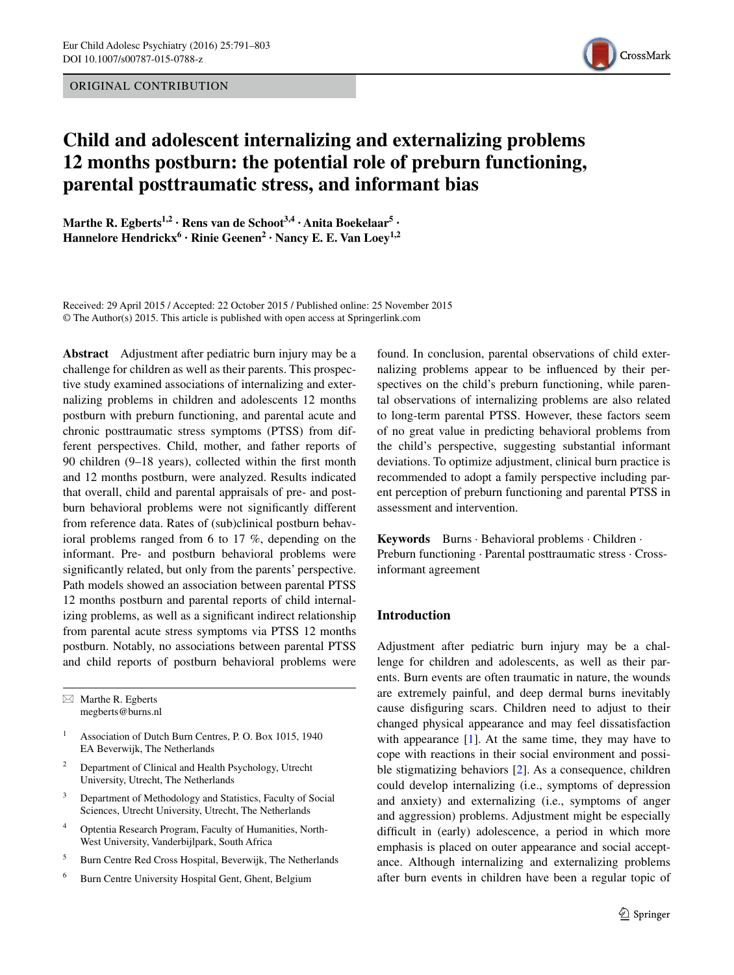

# **Child and adolescent internalizing and externalizing problems 12 months postburn: the potential role of preburn functioning, parental posttraumatic stress, and informant bias**

**Marthe R. Egberts**<sup>1,2</sup> **· Rens van de Schoot**<sup>3,4</sup> **· Anita Boekelaar<sup>5</sup> · Hannelore Hendrickx<sup>6</sup> · Rinie Geenen2 · Nancy E. E. Van Loey1,2**

Received: 29 April 2015 / Accepted: 22 October 2015 / Published online: 25 November 2015 © The Author(s) 2015. This article is published with open access at Springerlink.com

**Abstract** Adjustment after pediatric burn injury may be a challenge for children as well as their parents. This prospective study examined associations of internalizing and externalizing problems in children and adolescents 12 months postburn with preburn functioning, and parental acute and chronic posttraumatic stress symptoms (PTSS) from different perspectives. Child, mother, and father reports of 90 children (9–18 years), collected within the first month and 12 months postburn, were analyzed. Results indicated that overall, child and parental appraisals of pre- and postburn behavioral problems were not significantly different from reference data. Rates of (sub)clinical postburn behavioral problems ranged from 6 to 17 %, depending on the informant. Pre- and postburn behavioral problems were significantly related, but only from the parents' perspective. Path models showed an association between parental PTSS 12 months postburn and parental reports of child internalizing problems, as well as a significant indirect relationship from parental acute stress symptoms via PTSS 12 months postburn. Notably, no associations between parental PTSS and child reports of postburn behavioral problems were

 $\boxtimes$  Marthe R. Egberts megberts@burns.nl

- <sup>1</sup> Association of Dutch Burn Centres, P. O. Box 1015, 1940 EA Beverwijk, The Netherlands
- <sup>2</sup> Department of Clinical and Health Psychology, Utrecht University, Utrecht, The Netherlands
- <sup>3</sup> Department of Methodology and Statistics, Faculty of Social Sciences, Utrecht University, Utrecht, The Netherlands
- <sup>4</sup> Optentia Research Program, Faculty of Humanities, North-West University, Vanderbijlpark, South Africa
- <sup>5</sup> Burn Centre Red Cross Hospital, Beverwijk, The Netherlands
- <sup>6</sup> Burn Centre University Hospital Gent, Ghent, Belgium

found. In conclusion, parental observations of child externalizing problems appear to be influenced by their perspectives on the child's preburn functioning, while parental observations of internalizing problems are also related to long-term parental PTSS. However, these factors seem of no great value in predicting behavioral problems from the child's perspective, suggesting substantial informant deviations. To optimize adjustment, clinical burn practice is recommended to adopt a family perspective including parent perception of preburn functioning and parental PTSS in assessment and intervention.

**Keywords** Burns · Behavioral problems · Children · Preburn functioning · Parental posttraumatic stress · Crossinformant agreement

# **Introduction**

Adjustment after pediatric burn injury may be a challenge for children and adolescents, as well as their parents. Burn events are often traumatic in nature, the wounds are extremely painful, and deep dermal burns inevitably cause disfiguring scars. Children need to adjust to their changed physical appearance and may feel dissatisfaction with appearance [[1\]](#page-11-0). At the same time, they may have to cope with reactions in their social environment and possible stigmatizing behaviors [\[2](#page-11-1)]. As a consequence, children could develop internalizing (i.e., symptoms of depression and anxiety) and externalizing (i.e., symptoms of anger and aggression) problems. Adjustment might be especially difficult in (early) adolescence, a period in which more emphasis is placed on outer appearance and social acceptance. Although internalizing and externalizing problems after burn events in children have been a regular topic of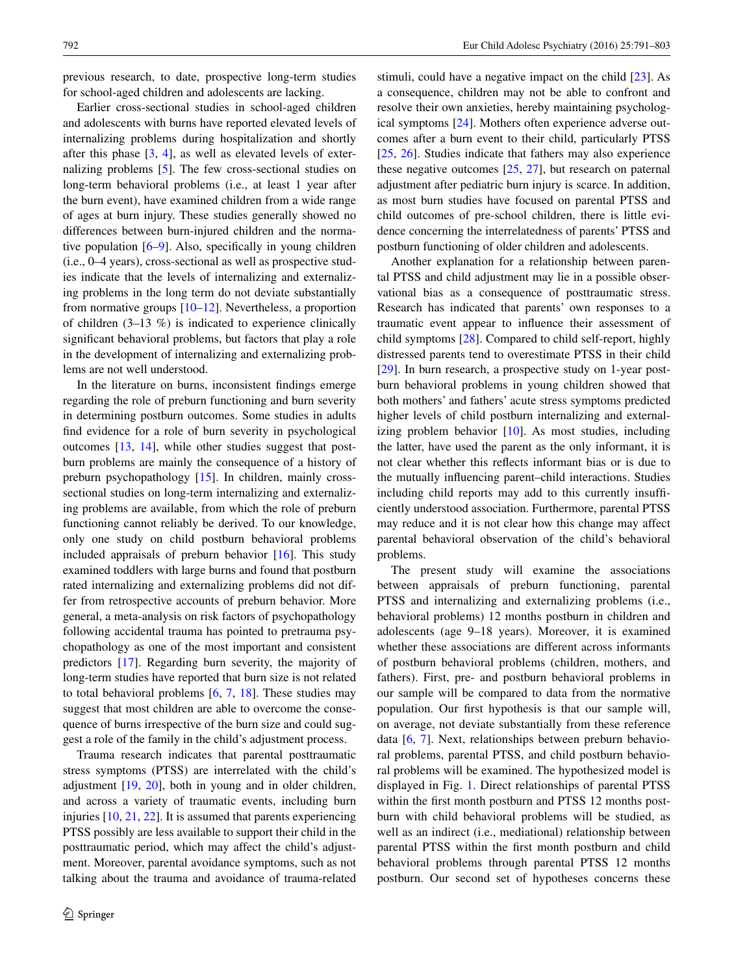previous research, to date, prospective long-term studies for school-aged children and adolescents are lacking.

Earlier cross-sectional studies in school-aged children and adolescents with burns have reported elevated levels of internalizing problems during hospitalization and shortly after this phase [[3,](#page-11-2) [4\]](#page-11-3), as well as elevated levels of externalizing problems [[5\]](#page-11-4). The few cross-sectional studies on long-term behavioral problems (i.e., at least 1 year after the burn event), have examined children from a wide range of ages at burn injury. These studies generally showed no differences between burn-injured children and the normative population [[6–](#page-11-5)[9\]](#page-11-6). Also, specifically in young children (i.e., 0–4 years), cross-sectional as well as prospective studies indicate that the levels of internalizing and externalizing problems in the long term do not deviate substantially from normative groups [[10–](#page-11-7)[12\]](#page-11-8). Nevertheless, a proportion of children  $(3-13 \%)$  is indicated to experience clinically significant behavioral problems, but factors that play a role in the development of internalizing and externalizing problems are not well understood.

In the literature on burns, inconsistent findings emerge regarding the role of preburn functioning and burn severity in determining postburn outcomes. Some studies in adults find evidence for a role of burn severity in psychological outcomes [[13,](#page-11-9) [14](#page-11-10)], while other studies suggest that postburn problems are mainly the consequence of a history of preburn psychopathology [[15\]](#page-11-11). In children, mainly crosssectional studies on long-term internalizing and externalizing problems are available, from which the role of preburn functioning cannot reliably be derived. To our knowledge, only one study on child postburn behavioral problems included appraisals of preburn behavior  $[16]$  $[16]$ . This study examined toddlers with large burns and found that postburn rated internalizing and externalizing problems did not differ from retrospective accounts of preburn behavior. More general, a meta-analysis on risk factors of psychopathology following accidental trauma has pointed to pretrauma psychopathology as one of the most important and consistent predictors [[17\]](#page-11-13). Regarding burn severity, the majority of long-term studies have reported that burn size is not related to total behavioral problems  $[6, 7, 18]$  $[6, 7, 18]$  $[6, 7, 18]$  $[6, 7, 18]$  $[6, 7, 18]$  $[6, 7, 18]$  $[6, 7, 18]$ . These studies may suggest that most children are able to overcome the consequence of burns irrespective of the burn size and could suggest a role of the family in the child's adjustment process.

Trauma research indicates that parental posttraumatic stress symptoms (PTSS) are interrelated with the child's adjustment [\[19](#page-11-16), [20](#page-11-17)], both in young and in older children, and across a variety of traumatic events, including burn injuries [[10,](#page-11-7) [21,](#page-11-18) [22](#page-11-19)]. It is assumed that parents experiencing PTSS possibly are less available to support their child in the posttraumatic period, which may affect the child's adjustment. Moreover, parental avoidance symptoms, such as not talking about the trauma and avoidance of trauma-related stimuli, could have a negative impact on the child [[23\]](#page-11-20). As a consequence, children may not be able to confront and resolve their own anxieties, hereby maintaining psychological symptoms [[24\]](#page-11-21). Mothers often experience adverse outcomes after a burn event to their child, particularly PTSS [\[25](#page-11-22), [26](#page-11-23)]. Studies indicate that fathers may also experience these negative outcomes [\[25](#page-11-22), [27](#page-11-24)], but research on paternal adjustment after pediatric burn injury is scarce. In addition, as most burn studies have focused on parental PTSS and child outcomes of pre-school children, there is little evidence concerning the interrelatedness of parents' PTSS and postburn functioning of older children and adolescents.

Another explanation for a relationship between parental PTSS and child adjustment may lie in a possible observational bias as a consequence of posttraumatic stress. Research has indicated that parents' own responses to a traumatic event appear to influence their assessment of child symptoms [[28\]](#page-11-25). Compared to child self-report, highly distressed parents tend to overestimate PTSS in their child [\[29](#page-11-26)]. In burn research, a prospective study on 1-year postburn behavioral problems in young children showed that both mothers' and fathers' acute stress symptoms predicted higher levels of child postburn internalizing and externalizing problem behavior  $[10]$  $[10]$ . As most studies, including the latter, have used the parent as the only informant, it is not clear whether this reflects informant bias or is due to the mutually influencing parent–child interactions. Studies including child reports may add to this currently insufficiently understood association. Furthermore, parental PTSS may reduce and it is not clear how this change may affect parental behavioral observation of the child's behavioral problems.

The present study will examine the associations between appraisals of preburn functioning, parental PTSS and internalizing and externalizing problems (i.e., behavioral problems) 12 months postburn in children and adolescents (age 9–18 years). Moreover, it is examined whether these associations are different across informants of postburn behavioral problems (children, mothers, and fathers). First, pre- and postburn behavioral problems in our sample will be compared to data from the normative population. Our first hypothesis is that our sample will, on average, not deviate substantially from these reference data [[6](#page-11-5), [7](#page-11-14)]. Next, relationships between preburn behavioral problems, parental PTSS, and child postburn behavioral problems will be examined. The hypothesized model is displayed in Fig. [1.](#page-2-0) Direct relationships of parental PTSS within the first month postburn and PTSS 12 months postburn with child behavioral problems will be studied, as well as an indirect (i.e., mediational) relationship between parental PTSS within the first month postburn and child behavioral problems through parental PTSS 12 months postburn. Our second set of hypotheses concerns these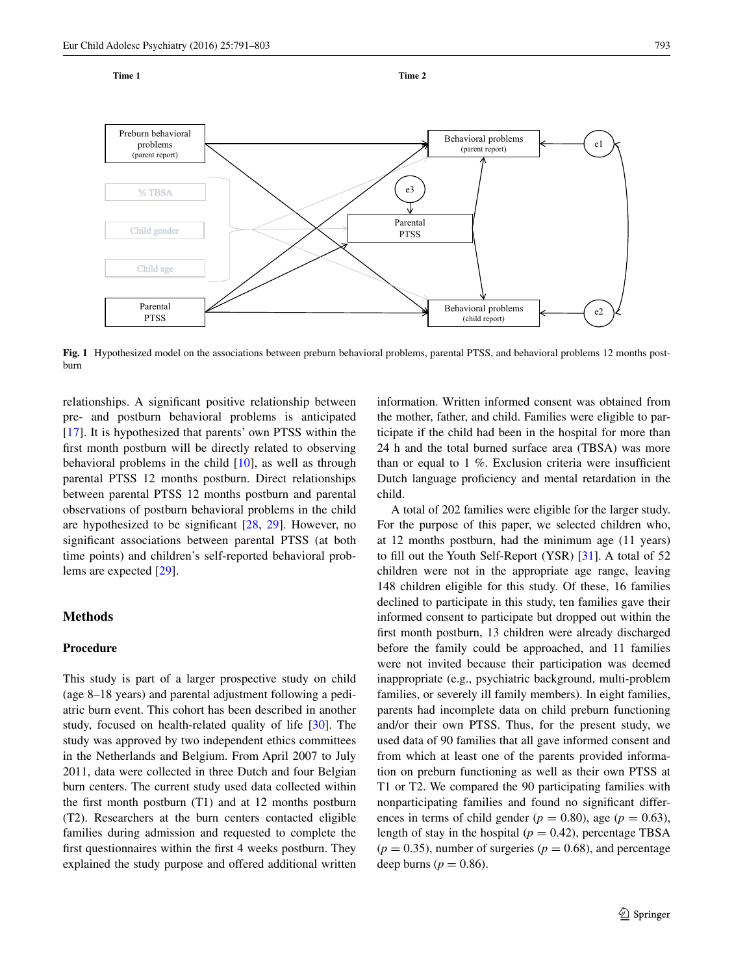

<span id="page-2-0"></span>**Fig. 1** Hypothesized model on the associations between preburn behavioral problems, parental PTSS, and behavioral problems 12 months postburn

relationships. A significant positive relationship between pre- and postburn behavioral problems is anticipated [\[17\]](#page-11-13). It is hypothesized that parents' own PTSS within the first month postburn will be directly related to observing behavioral problems in the child [[10](#page-11-7)], as well as through parental PTSS 12 months postburn. Direct relationships between parental PTSS 12 months postburn and parental observations of postburn behavioral problems in the child are hypothesized to be significant [[28,](#page-11-25) [29\]](#page-11-26). However, no significant associations between parental PTSS (at both time points) and children's self-reported behavioral problems are expected [\[29](#page-11-26)].

## **Methods**

## **Procedure**

This study is part of a larger prospective study on child (age 8–18 years) and parental adjustment following a pediatric burn event. This cohort has been described in another study, focused on health-related quality of life [[30\]](#page-11-27). The study was approved by two independent ethics committees in the Netherlands and Belgium. From April 2007 to July 2011, data were collected in three Dutch and four Belgian burn centers. The current study used data collected within the first month postburn (T1) and at 12 months postburn (T2). Researchers at the burn centers contacted eligible families during admission and requested to complete the first questionnaires within the first 4 weeks postburn. They explained the study purpose and offered additional written information. Written informed consent was obtained from the mother, father, and child. Families were eligible to participate if the child had been in the hospital for more than 24 h and the total burned surface area (TBSA) was more than or equal to 1 %. Exclusion criteria were insufficient Dutch language proficiency and mental retardation in the child.

A total of 202 families were eligible for the larger study. For the purpose of this paper, we selected children who, at 12 months postburn, had the minimum age (11 years) to fill out the Youth Self-Report (YSR) [\[31](#page-11-28)]. A total of 52 children were not in the appropriate age range, leaving 148 children eligible for this study. Of these, 16 families declined to participate in this study, ten families gave their informed consent to participate but dropped out within the first month postburn, 13 children were already discharged before the family could be approached, and 11 families were not invited because their participation was deemed inappropriate (e.g., psychiatric background, multi-problem families, or severely ill family members). In eight families, parents had incomplete data on child preburn functioning and/or their own PTSS. Thus, for the present study, we used data of 90 families that all gave informed consent and from which at least one of the parents provided information on preburn functioning as well as their own PTSS at T1 or T2. We compared the 90 participating families with nonparticipating families and found no significant differences in terms of child gender ( $p = 0.80$ ), age ( $p = 0.63$ ), length of stay in the hospital ( $p = 0.42$ ), percentage TBSA  $(p = 0.35)$ , number of surgeries  $(p = 0.68)$ , and percentage deep burns ( $p = 0.86$ ).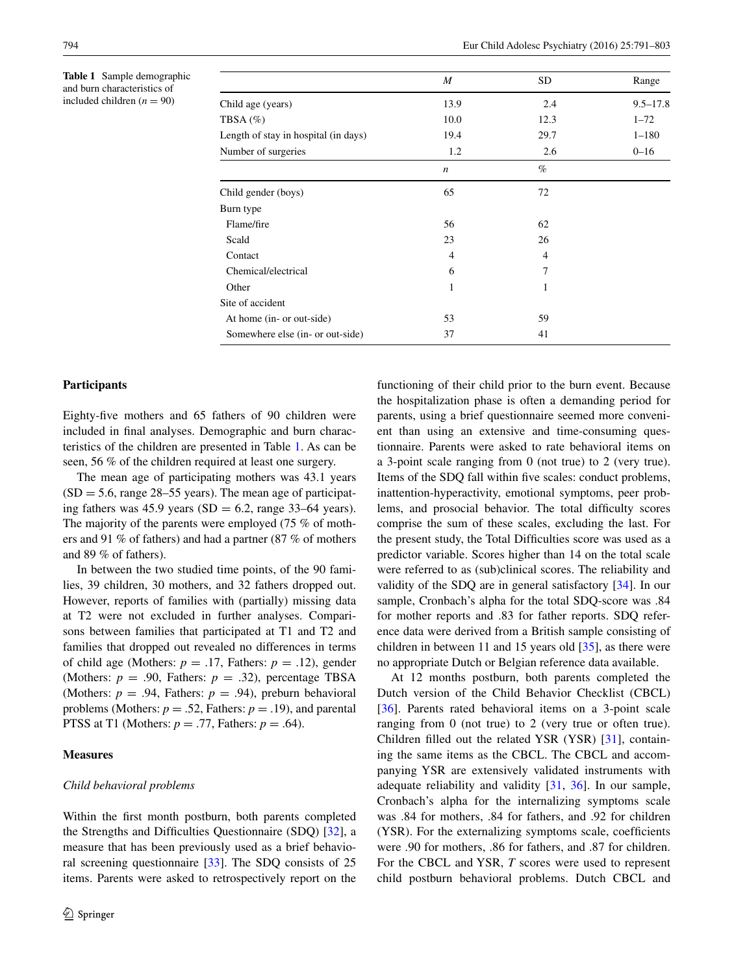<span id="page-3-0"></span>**Table 1** Sample demographic and burn characteristics of included children  $(n = 90)$ 

|                                      | M                | SD.  | Range        |
|--------------------------------------|------------------|------|--------------|
| Child age (years)                    | 13.9             | 2.4  | $9.5 - 17.8$ |
| TBSA $(\%)$                          | 10.0             | 12.3 | $1 - 72$     |
| Length of stay in hospital (in days) | 19.4             | 29.7 | $1 - 180$    |
| Number of surgeries                  | 1.2              | 2.6  | $0 - 16$     |
|                                      | $\boldsymbol{n}$ | $\%$ |              |
| Child gender (boys)                  | 65               | 72   |              |
| Burn type                            |                  |      |              |
| Flame/fire                           | 56               | 62   |              |
| Scald                                | 23               | 26   |              |
| Contact                              | $\overline{4}$   | 4    |              |
| Chemical/electrical                  | 6                | 7    |              |
| Other                                | 1                | 1    |              |
| Site of accident                     |                  |      |              |
| At home (in- or out-side)            | 53               | 59   |              |
| Somewhere else (in- or out-side)     | 37               | 41   |              |

#### **Participants**

Eighty-five mothers and 65 fathers of 90 children were included in final analyses. Demographic and burn characteristics of the children are presented in Table [1.](#page-3-0) As can be seen, 56 % of the children required at least one surgery.

The mean age of participating mothers was 43.1 years  $(SD = 5.6$ , range 28–55 years). The mean age of participating fathers was 45.9 years (SD = 6.2, range 33–64 years). The majority of the parents were employed (75 % of mothers and 91 % of fathers) and had a partner (87 % of mothers and 89 % of fathers).

In between the two studied time points, of the 90 families, 39 children, 30 mothers, and 32 fathers dropped out. However, reports of families with (partially) missing data at T2 were not excluded in further analyses. Comparisons between families that participated at T1 and T2 and families that dropped out revealed no differences in terms of child age (Mothers:  $p = .17$ , Fathers:  $p = .12$ ), gender (Mothers:  $p = .90$ , Fathers:  $p = .32$ ), percentage TBSA (Mothers:  $p = .94$ , Fathers:  $p = .94$ ), preburn behavioral problems (Mothers:  $p = .52$ , Fathers:  $p = .19$ ), and parental PTSS at T1 (Mothers:  $p = .77$ , Fathers:  $p = .64$ ).

# **Measures**

#### *Child behavioral problems*

Within the first month postburn, both parents completed the Strengths and Difficulties Questionnaire (SDQ) [[32\]](#page-11-29), a measure that has been previously used as a brief behavioral screening questionnaire [[33\]](#page-11-30). The SDQ consists of 25 items. Parents were asked to retrospectively report on the functioning of their child prior to the burn event. Because the hospitalization phase is often a demanding period for parents, using a brief questionnaire seemed more convenient than using an extensive and time-consuming questionnaire. Parents were asked to rate behavioral items on a 3-point scale ranging from 0 (not true) to 2 (very true). Items of the SDQ fall within five scales: conduct problems, inattention-hyperactivity, emotional symptoms, peer problems, and prosocial behavior. The total difficulty scores comprise the sum of these scales, excluding the last. For the present study, the Total Difficulties score was used as a predictor variable. Scores higher than 14 on the total scale were referred to as (sub)clinical scores. The reliability and validity of the SDQ are in general satisfactory [[34\]](#page-11-31). In our sample, Cronbach's alpha for the total SDQ-score was .84 for mother reports and .83 for father reports. SDQ reference data were derived from a British sample consisting of children in between 11 and 15 years old [[35\]](#page-11-32), as there were no appropriate Dutch or Belgian reference data available.

At 12 months postburn, both parents completed the Dutch version of the Child Behavior Checklist (CBCL) [[36\]](#page-11-33). Parents rated behavioral items on a 3-point scale ranging from 0 (not true) to 2 (very true or often true). Children filled out the related YSR (YSR) [\[31](#page-11-28)], containing the same items as the CBCL. The CBCL and accompanying YSR are extensively validated instruments with adequate reliability and validity [\[31](#page-11-28), [36](#page-11-33)]. In our sample, Cronbach's alpha for the internalizing symptoms scale was .84 for mothers, .84 for fathers, and .92 for children (YSR). For the externalizing symptoms scale, coefficients were .90 for mothers, .86 for fathers, and .87 for children. For the CBCL and YSR, *T* scores were used to represent child postburn behavioral problems. Dutch CBCL and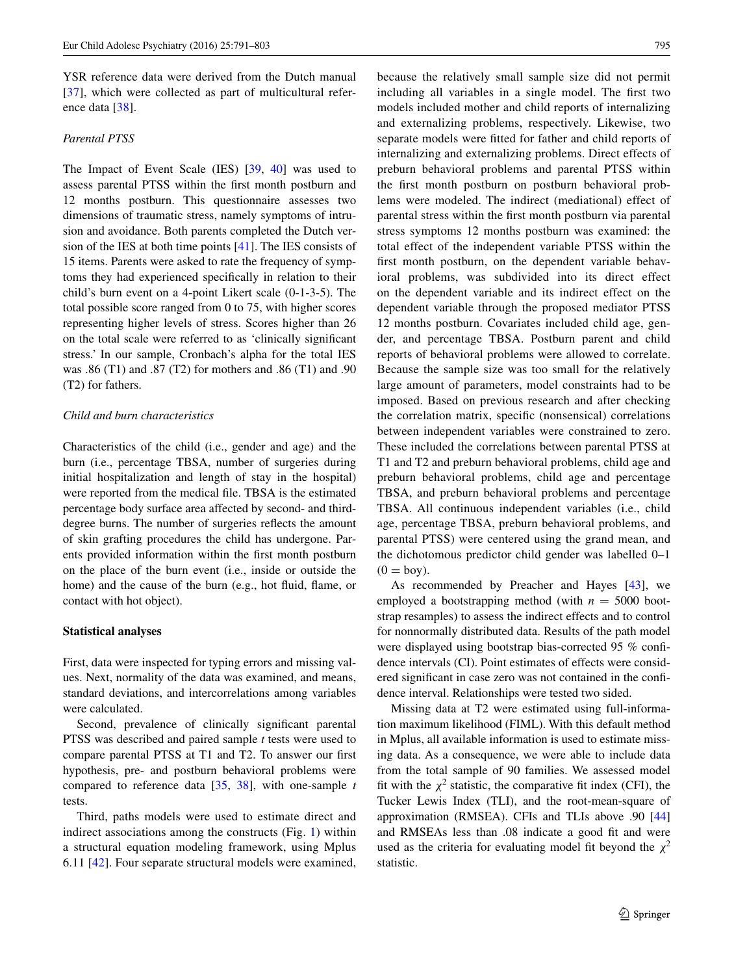YSR reference data were derived from the Dutch manual [\[37\]](#page-11-34), which were collected as part of multicultural reference data [[38\]](#page-11-35).

#### *Parental PTSS*

The Impact of Event Scale (IES) [\[39](#page-12-0), [40](#page-12-1)] was used to assess parental PTSS within the first month postburn and 12 months postburn. This questionnaire assesses two dimensions of traumatic stress, namely symptoms of intrusion and avoidance. Both parents completed the Dutch version of the IES at both time points [\[41](#page-12-2)]. The IES consists of 15 items. Parents were asked to rate the frequency of symptoms they had experienced specifically in relation to their child's burn event on a 4-point Likert scale (0-1-3-5). The total possible score ranged from 0 to 75, with higher scores representing higher levels of stress. Scores higher than 26 on the total scale were referred to as 'clinically significant stress.' In our sample, Cronbach's alpha for the total IES was .86 (T1) and .87 (T2) for mothers and .86 (T1) and .90 (T2) for fathers.

## *Child and burn characteristics*

Characteristics of the child (i.e., gender and age) and the burn (i.e., percentage TBSA, number of surgeries during initial hospitalization and length of stay in the hospital) were reported from the medical file. TBSA is the estimated percentage body surface area affected by second- and thirddegree burns. The number of surgeries reflects the amount of skin grafting procedures the child has undergone. Parents provided information within the first month postburn on the place of the burn event (i.e., inside or outside the home) and the cause of the burn (e.g., hot fluid, flame, or contact with hot object).

#### **Statistical analyses**

First, data were inspected for typing errors and missing values. Next, normality of the data was examined, and means, standard deviations, and intercorrelations among variables were calculated.

Second, prevalence of clinically significant parental PTSS was described and paired sample *t* tests were used to compare parental PTSS at T1 and T2. To answer our first hypothesis, pre- and postburn behavioral problems were compared to reference data [[35,](#page-11-32) [38](#page-11-35)], with one-sample *t* tests.

Third, paths models were used to estimate direct and indirect associations among the constructs (Fig. [1\)](#page-2-0) within a structural equation modeling framework, using Mplus 6.11 [[42](#page-12-3)]. Four separate structural models were examined, because the relatively small sample size did not permit including all variables in a single model. The first two models included mother and child reports of internalizing and externalizing problems, respectively. Likewise, two separate models were fitted for father and child reports of internalizing and externalizing problems. Direct effects of preburn behavioral problems and parental PTSS within the first month postburn on postburn behavioral problems were modeled. The indirect (mediational) effect of parental stress within the first month postburn via parental stress symptoms 12 months postburn was examined: the total effect of the independent variable PTSS within the first month postburn, on the dependent variable behavioral problems, was subdivided into its direct effect on the dependent variable and its indirect effect on the dependent variable through the proposed mediator PTSS 12 months postburn. Covariates included child age, gender, and percentage TBSA. Postburn parent and child reports of behavioral problems were allowed to correlate. Because the sample size was too small for the relatively large amount of parameters, model constraints had to be imposed. Based on previous research and after checking the correlation matrix, specific (nonsensical) correlations between independent variables were constrained to zero. These included the correlations between parental PTSS at T1 and T2 and preburn behavioral problems, child age and preburn behavioral problems, child age and percentage TBSA, and preburn behavioral problems and percentage TBSA. All continuous independent variables (i.e., child age, percentage TBSA, preburn behavioral problems, and parental PTSS) were centered using the grand mean, and the dichotomous predictor child gender was labelled 0–1  $(0 = boy).$ 

As recommended by Preacher and Hayes [[43\]](#page-12-4), we employed a bootstrapping method (with  $n = 5000$  bootstrap resamples) to assess the indirect effects and to control for nonnormally distributed data. Results of the path model were displayed using bootstrap bias-corrected 95 % confidence intervals (CI). Point estimates of effects were considered significant in case zero was not contained in the confidence interval. Relationships were tested two sided.

Missing data at T2 were estimated using full-information maximum likelihood (FIML). With this default method in Mplus, all available information is used to estimate missing data. As a consequence, we were able to include data from the total sample of 90 families. We assessed model fit with the  $\chi^2$  statistic, the comparative fit index (CFI), the Tucker Lewis Index (TLI), and the root-mean-square of approximation (RMSEA). CFIs and TLIs above .90 [[44\]](#page-12-5) and RMSEAs less than .08 indicate a good fit and were used as the criteria for evaluating model fit beyond the  $\chi^2$ statistic.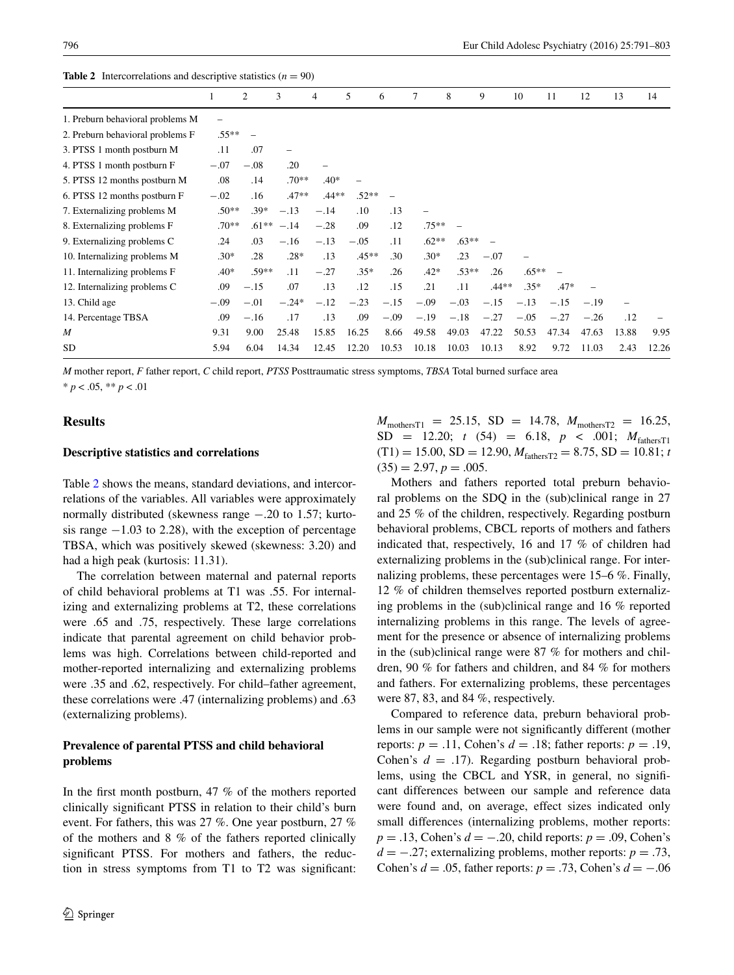|                                  |                          | 2                        | 3                        | 4       | 5       | 6       | 7        | 8       | 9       | 10       | 11                       | 12     | 13    | 14    |
|----------------------------------|--------------------------|--------------------------|--------------------------|---------|---------|---------|----------|---------|---------|----------|--------------------------|--------|-------|-------|
| 1. Preburn behavioral problems M | $\overline{\phantom{0}}$ |                          |                          |         |         |         |          |         |         |          |                          |        |       |       |
| 2. Preburn behavioral problems F | $.55**$                  | $\overline{\phantom{0}}$ |                          |         |         |         |          |         |         |          |                          |        |       |       |
| 3. PTSS 1 month postburn M       | .11                      | .07                      | $\overline{\phantom{0}}$ |         |         |         |          |         |         |          |                          |        |       |       |
| 4. PTSS 1 month postburn F       | $-.07$                   | $-.08$                   | .20                      |         |         |         |          |         |         |          |                          |        |       |       |
| 5. PTSS 12 months postburn M     | .08                      | .14                      | $.70**$                  | $.40*$  |         |         |          |         |         |          |                          |        |       |       |
| 6. PTSS 12 months postburn F     | $-.02$                   | .16                      | $.47**$                  | $.44**$ | $.52**$ |         |          |         |         |          |                          |        |       |       |
| 7. Externalizing problems M      | $.50**$                  | $.39*$                   | $-.13$                   | $-.14$  | $.10\,$ | .13     |          |         |         |          |                          |        |       |       |
| 8. Externalizing problems F      | $.70**$                  | $.61**$                  | $-.14$                   | $-.28$  | .09     | $.12\,$ | $.75***$ |         |         |          |                          |        |       |       |
| 9. Externalizing problems C      | .24                      | .03                      | $-.16$                   | $-.13$  | $-.05$  | .11     | $.62**$  | $.63**$ |         |          |                          |        |       |       |
| 10. Internalizing problems M     | $.30*$                   | .28                      | $.28*$                   | .13     | $.45**$ | .30     | $.30*$   | .23     | $-.07$  |          |                          |        |       |       |
| 11. Internalizing problems F     | $.40*$                   | $.59**$                  | .11                      | $-.27$  | $.35*$  | .26     | $.42*$   | $.53**$ | .26     | $.65***$ | $\overline{\phantom{0}}$ |        |       |       |
| 12. Internalizing problems C     | .09                      | $-.15$                   | .07                      | .13     | .12     | .15     | .21      | .11     | $.44**$ | $.35*$   | $.47*$                   |        |       |       |
| 13. Child age                    | $-.09$                   | $-.01$                   | $-.24*$                  | $-.12$  | $-.23$  | $-.15$  | $-.09$   | $-.03$  | $-.15$  | $-.13$   | $-.15$                   | $-.19$ |       |       |
| 14. Percentage TBSA              | .09                      | $-.16$                   | .17                      | .13     | .09     | $-.09$  | $-.19$   | $-.18$  | $-.27$  | $-.05$   | $-.27$                   | $-.26$ | .12   |       |
| M                                | 9.31                     | 9.00                     | 25.48                    | 15.85   | 16.25   | 8.66    | 49.58    | 49.03   | 47.22   | 50.53    | 47.34                    | 47.63  | 13.88 | 9.95  |
| <b>SD</b>                        | 5.94                     | 6.04                     | 14.34                    | 12.45   | 12.20   | 10.53   | 10.18    | 10.03   | 10.13   | 8.92     | 9.72                     | 11.03  | 2.43  | 12.26 |

<span id="page-5-0"></span>**Table 2** Intercorrelations and descriptive statistics  $(n = 90)$ 

*M* mother report, *F* father report, *C* child report, *PTSS* Posttraumatic stress symptoms, *TBSA* Total burned surface area  $* p < .05, ** p < .01$ 

## **Results**

#### **Descriptive statistics and correlations**

Table [2](#page-5-0) shows the means, standard deviations, and intercorrelations of the variables. All variables were approximately normally distributed (skewness range −.20 to 1.57; kurtosis range −1.03 to 2.28), with the exception of percentage TBSA, which was positively skewed (skewness: 3.20) and had a high peak (kurtosis: 11.31).

The correlation between maternal and paternal reports of child behavioral problems at T1 was .55. For internalizing and externalizing problems at T2, these correlations were .65 and .75, respectively. These large correlations indicate that parental agreement on child behavior problems was high. Correlations between child-reported and mother-reported internalizing and externalizing problems were .35 and .62, respectively. For child–father agreement, these correlations were .47 (internalizing problems) and .63 (externalizing problems).

# **Prevalence of parental PTSS and child behavioral problems**

In the first month postburn, 47 % of the mothers reported clinically significant PTSS in relation to their child's burn event. For fathers, this was 27 %. One year postburn, 27 % of the mothers and 8 % of the fathers reported clinically significant PTSS. For mothers and fathers, the reduction in stress symptoms from T1 to T2 was significant:

 $M_{\text{motherST1}} = 25.15$ ,  $SD = 14.78$ ,  $M_{\text{motherST2}} = 16.25$ ,  $SD = 12.20; t (54) = 6.18, p < .001; M<sub>fatherST1</sub>$  $(T1) = 15.00$ ,  $SD = 12.90$ ,  $M_{\text{fattersT2}} = 8.75$ ,  $SD = 10.81$ ; *t*  $(35) = 2.97, p = .005.$ 

Mothers and fathers reported total preburn behavioral problems on the SDQ in the (sub)clinical range in 27 and 25 % of the children, respectively. Regarding postburn behavioral problems, CBCL reports of mothers and fathers indicated that, respectively, 16 and 17 % of children had externalizing problems in the (sub)clinical range. For internalizing problems, these percentages were 15–6 %. Finally, 12 % of children themselves reported postburn externalizing problems in the (sub)clinical range and 16 % reported internalizing problems in this range. The levels of agreement for the presence or absence of internalizing problems in the (sub)clinical range were 87 % for mothers and children, 90 % for fathers and children, and 84 % for mothers and fathers. For externalizing problems, these percentages were 87, 83, and 84 %, respectively.

Compared to reference data, preburn behavioral problems in our sample were not significantly different (mother reports:  $p = .11$ , Cohen's  $d = .18$ ; father reports:  $p = .19$ , Cohen's  $d = .17$ ). Regarding postburn behavioral problems, using the CBCL and YSR, in general, no significant differences between our sample and reference data were found and, on average, effect sizes indicated only small differences (internalizing problems, mother reports: *p* = .13, Cohen's *d* = −.20, child reports: *p* = .09, Cohen's  $d = -.27$ ; externalizing problems, mother reports:  $p = .73$ , Cohen's  $d = .05$ , father reports:  $p = .73$ , Cohen's  $d = -.06$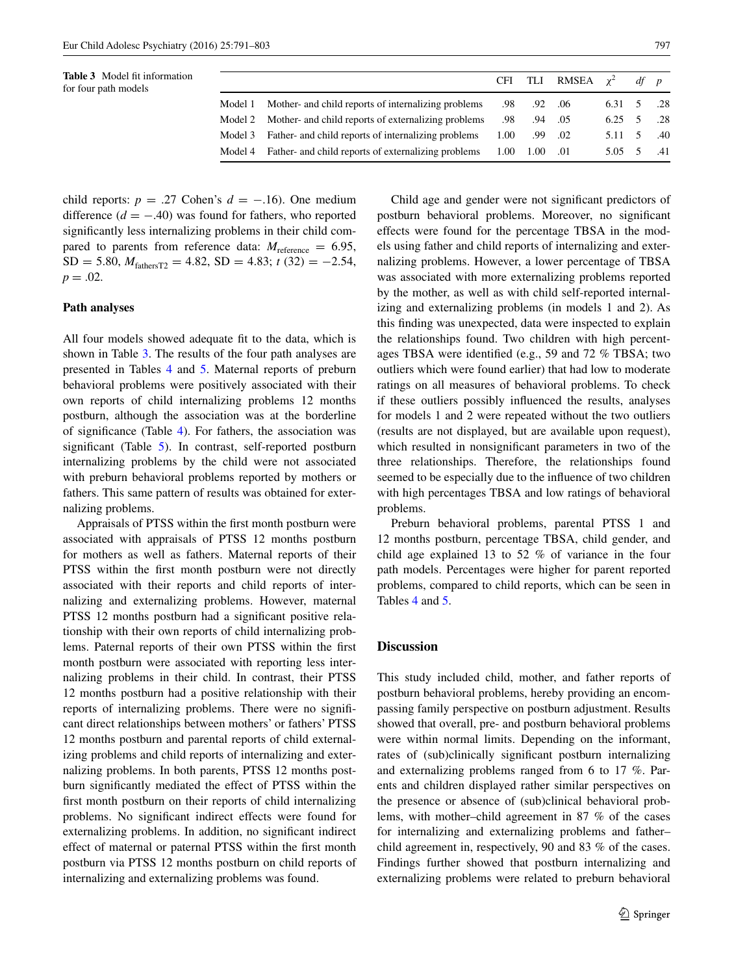<span id="page-6-0"></span>**Table 3** Model fit information for four path models

|         |                                                     |      |             | CFI TLI RMSEA $\chi^2$ df p |                |     |
|---------|-----------------------------------------------------|------|-------------|-----------------------------|----------------|-----|
| Model 1 | Mother- and child reports of internalizing problems |      | .98 .92 .06 |                             | 6.31 5         | .28 |
| Model 2 | Mother- and child reports of externalizing problems | .98  | .94 .05     |                             | 6.25 5         | .28 |
| Model 3 | Father- and child reports of internalizing problems | 1.00 | .99 .02     |                             | 5.11 5         | .40 |
| Model 4 | Father- and child reports of externalizing problems | 1.00 | 1.00 .01    |                             | $5.05 \quad 5$ | .41 |

child reports:  $p = .27$  Cohen's  $d = -.16$ ). One medium difference  $(d = -.40)$  was found for fathers, who reported significantly less internalizing problems in their child compared to parents from reference data:  $M_{\text{reference}} = 6.95$ ,  $SD = 5.80$ ,  $M_{\text{fattersT2}} = 4.82$ ,  $SD = 4.83$ ;  $t(32) = -2.54$ ,  $p = .02$ .

# **Path analyses**

All four models showed adequate fit to the data, which is shown in Table [3.](#page-6-0) The results of the four path analyses are presented in Tables [4](#page-7-0) and [5](#page-8-0). Maternal reports of preburn behavioral problems were positively associated with their own reports of child internalizing problems 12 months postburn, although the association was at the borderline of significance (Table [4\)](#page-7-0). For fathers, the association was significant (Table [5\)](#page-8-0). In contrast, self-reported postburn internalizing problems by the child were not associated with preburn behavioral problems reported by mothers or fathers. This same pattern of results was obtained for externalizing problems.

Appraisals of PTSS within the first month postburn were associated with appraisals of PTSS 12 months postburn for mothers as well as fathers. Maternal reports of their PTSS within the first month postburn were not directly associated with their reports and child reports of internalizing and externalizing problems. However, maternal PTSS 12 months postburn had a significant positive relationship with their own reports of child internalizing problems. Paternal reports of their own PTSS within the first month postburn were associated with reporting less internalizing problems in their child. In contrast, their PTSS 12 months postburn had a positive relationship with their reports of internalizing problems. There were no significant direct relationships between mothers' or fathers' PTSS 12 months postburn and parental reports of child externalizing problems and child reports of internalizing and externalizing problems. In both parents, PTSS 12 months postburn significantly mediated the effect of PTSS within the first month postburn on their reports of child internalizing problems. No significant indirect effects were found for externalizing problems. In addition, no significant indirect effect of maternal or paternal PTSS within the first month postburn via PTSS 12 months postburn on child reports of internalizing and externalizing problems was found.

Child age and gender were not significant predictors of postburn behavioral problems. Moreover, no significant effects were found for the percentage TBSA in the models using father and child reports of internalizing and externalizing problems. However, a lower percentage of TBSA was associated with more externalizing problems reported by the mother, as well as with child self-reported internalizing and externalizing problems (in models 1 and 2). As this finding was unexpected, data were inspected to explain the relationships found. Two children with high percentages TBSA were identified (e.g., 59 and 72 % TBSA; two outliers which were found earlier) that had low to moderate ratings on all measures of behavioral problems. To check if these outliers possibly influenced the results, analyses for models 1 and 2 were repeated without the two outliers (results are not displayed, but are available upon request), which resulted in nonsignificant parameters in two of the three relationships. Therefore, the relationships found seemed to be especially due to the influence of two children with high percentages TBSA and low ratings of behavioral problems.

Preburn behavioral problems, parental PTSS 1 and 12 months postburn, percentage TBSA, child gender, and child age explained 13 to 52 % of variance in the four path models. Percentages were higher for parent reported problems, compared to child reports, which can be seen in Tables [4](#page-7-0) and [5.](#page-8-0)

# **Discussion**

This study included child, mother, and father reports of postburn behavioral problems, hereby providing an encompassing family perspective on postburn adjustment. Results showed that overall, pre- and postburn behavioral problems were within normal limits. Depending on the informant, rates of (sub)clinically significant postburn internalizing and externalizing problems ranged from 6 to 17 %. Parents and children displayed rather similar perspectives on the presence or absence of (sub)clinical behavioral problems, with mother–child agreement in 87 % of the cases for internalizing and externalizing problems and father– child agreement in, respectively, 90 and 83 % of the cases. Findings further showed that postburn internalizing and externalizing problems were related to preburn behavioral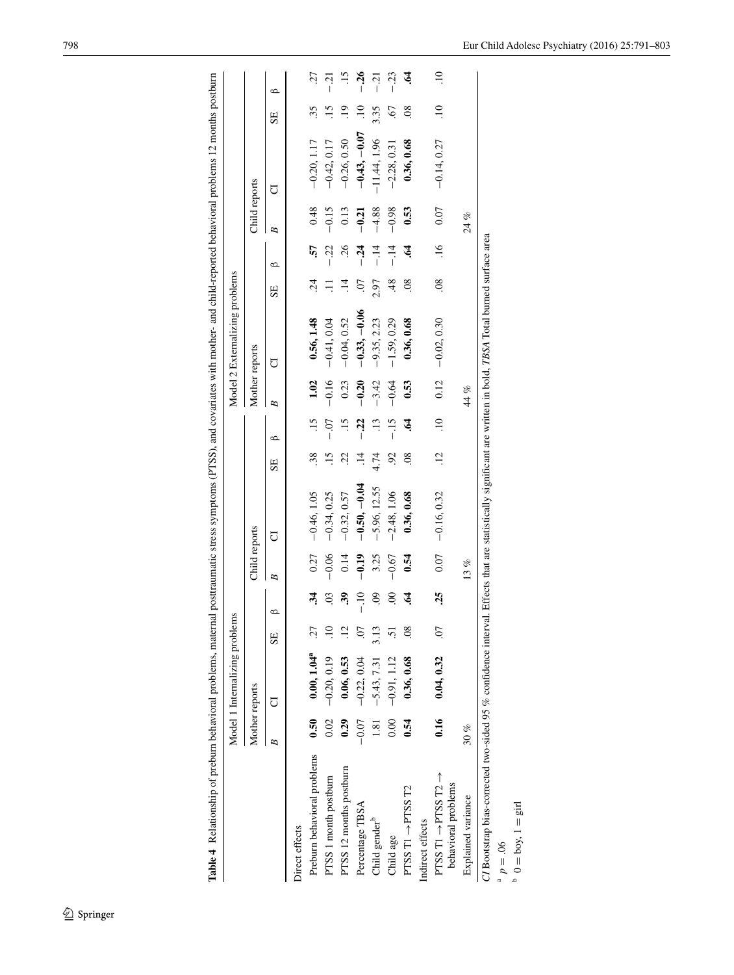|                                                                 | Mother reports |                                      |                 |                      | Child reports |                |                     |            | Mother reports |                |                  |               | Child reports             |                |                |            |
|-----------------------------------------------------------------|----------------|--------------------------------------|-----------------|----------------------|---------------|----------------|---------------------|------------|----------------|----------------|------------------|---------------|---------------------------|----------------|----------------|------------|
|                                                                 |                |                                      | SE              | ∞                    | R             | ਹ              | SE                  | ≏          | R              |                | SE               |               | R                         |                | SE             | ≏          |
| Direct effects                                                  |                |                                      |                 |                      |               |                |                     |            |                |                |                  |               |                           |                |                |            |
| Preburn behavioral problems                                     |                | $0.50$ $0.00, 1.04$ <sup>a</sup> .27 |                 | ઝું                  | 0.27          | $-0.46, 1.05$  | 38                  | $\ddot{.}$ | 1.02           | 0.56, 1.48     | $\ddot{c}$       | 57            | 0.48                      | $-0.20, 1.17$  | 35             | <u>رى</u>  |
| PTSS 1 month postburn                                           | 0.02           | $-0.20, 0.19$                        | $\overline{10}$ | S.                   | $-0.06$       | $-0.34, 0.25$  |                     | $-0$       | $-0.16$        | $-0.41, 0.04$  |                  | $-22$         | $-0.15$                   | $-0.42, 0.17$  | $\ddot{15}$    | $-21$      |
| PTSS 12 months postburn                                         | 0.29           | 0.06, 0.53                           | $\frac{12}{1}$  | ŝ.                   | $0.14\,$      | $-0.32, 0.57$  | 22.                 | $-15$      | 0.23           | $-0.04, 0.52$  | न                | 26            |                           | $-0.26, 0.50$  |                | $\ddot{5}$ |
| Percentage TBSA                                                 | $-0.07$        | $-0.22, 0.04$                        | $\overline{C}$  | $-10$                | $-0.19$       | $-0.50, -0.04$ | $\vec{=}$           | $-22$      | $-0.20$        | $-0.33, -0.06$ | $\overline{0}$ . | $-24$         | $-0.13$<br>-0.21<br>-4.88 | $-0.43, -0.07$ | $\Xi$          | $-26$      |
| Child gender <sup>b</sup>                                       | 1.81           | $-5.43, 7.31$ 3.13                   |                 | $\ddot{\mathrm{60}}$ | 3.25          | $-5.96, 12.55$ | 4.74                | $\ddot{.}$ | $-3.42$        | $-9.35, 2.23$  | 2.97             | $-14$         |                           | $-11.44, 1.96$ | 3.35           | $-21$      |
| Child age                                                       | 0.00           | $-0.91, 1.12$ .51                    |                 | $\mathcal{S}$        | $-0.67$       | $-2.48, 1.06$  | $\dot{\mathcal{S}}$ | $-15$      | $-0.64$        | $-1.59, 0.29$  | $\frac{48}{5}$   | $-14$         | $-0.98$                   | $-2.28, 0.31$  | 59.            | $-23$      |
| $PTSST1 \rightarrow PTSST2$                                     | 0.54           | 0.36, 0.68                           | $\frac{8}{30}$  | Ŝ                    | 0.54          | 0.36, 0.68     | $\overline{0}$      | Ŝ          | 0.53           | 0.36, 0.68     | $\overline{0}$   | ड़            | 0.53                      | 0.36, 0.68     | $\overline{0}$ | Ŝ.         |
| Indirect effects                                                |                |                                      |                 |                      |               |                |                     |            |                |                |                  |               |                           |                |                |            |
| $PISST1 \rightarrow PTSS T2 \rightarrow$<br>behavioral problems | 0.16           | 0.04, 0.32                           | 0               | 25                   | 0.07          | $-0.16, 0.32$  | $\ddot{5}$          | $\Xi$      | 0.12           | $-0.02, 0.30$  | $\overline{0}$   | $\frac{6}{1}$ | 0.07                      | $-0.14, 0.27$  | $\Xi$          | $\Xi$      |
| Explained variance                                              | $30\%$         |                                      |                 |                      | $13\%$        |                |                     |            | 44 %           |                |                  |               | 24 %                      |                |                |            |

Table 4 Relationship of preburn behavioral problems, maternal posttraumatic stress symptoms (PTSS), and covariates with mother- and child-reported behavioral problems 12 months postburn **Table 4** Relationship of preburn behavioral problems, maternal posttraumatic stress symptoms (PTSS), and covariates with mother- and child-reported behavioral problems 12 months postburn Model 2 Externalizing problems Model 1 Internalizing problems and a model as the model 2 Externalizing problems Model 1 Internalizing problems

CI Bootstrap bias-corrected two-sided 95 % confidence interval. Effects that are statistically significant are written in bold, TBSA Total burned surface area *CI* Bootstrap bias-corrected two-sided 95 % confidence interval. Effects that are statistically significant are written in bold, *TBSA* Total burned surface area

<span id="page-7-0"></span> $p = .06$  $b_0 = boy, 1 = girl$  $D = \text{box}$ , 1 = girl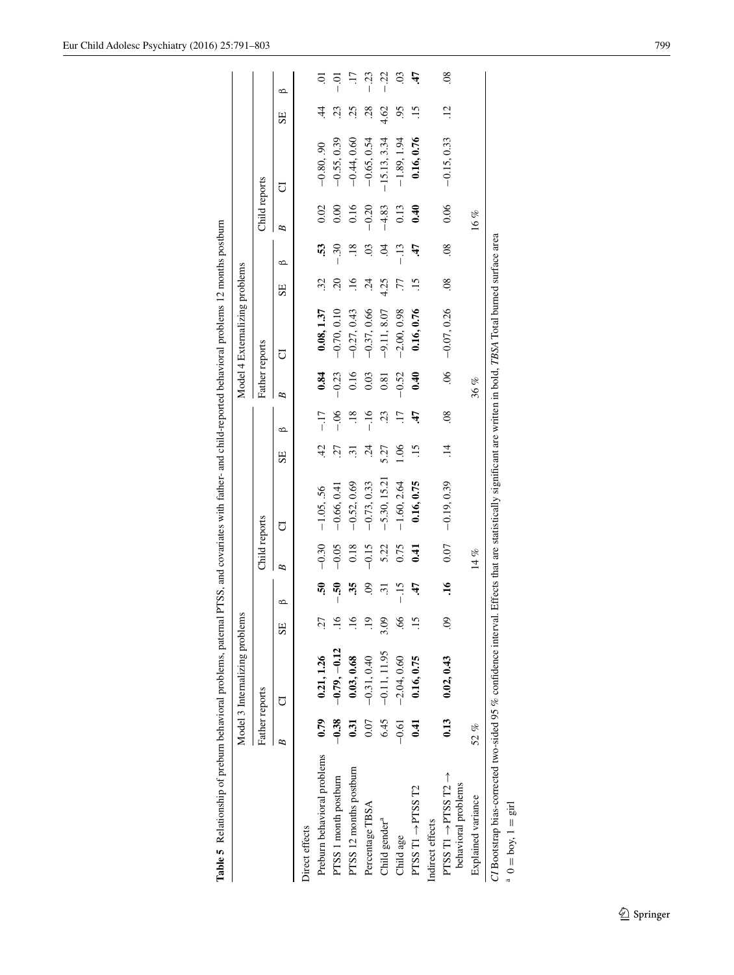|                                                                                                                                                                | Father reports |                |            |            | Child reports |                |                |                | Father reports            |               |                      |                     | Child reports |                |                 |                |
|----------------------------------------------------------------------------------------------------------------------------------------------------------------|----------------|----------------|------------|------------|---------------|----------------|----------------|----------------|---------------------------|---------------|----------------------|---------------------|---------------|----------------|-----------------|----------------|
|                                                                                                                                                                | B              | ರ              | SE         | $\circ$    | B             | ರ              | SE             | $\circ$        | B                         | రె            | SE                   | ≏                   | B             | ರ              | 5E              | ≏              |
| Direct effects                                                                                                                                                 |                |                |            |            |               |                |                |                |                           |               |                      |                     |               |                |                 |                |
| Prebum behavioral problems                                                                                                                                     | 0.79           | 0.21, 1.26     | 51         | 50         | $-0.30$       | $-1.05, .56$   |                |                | 0.84                      | 0.08, 1.37    | $\widetilde{\omega}$ | 53                  | 0.02          | $-0.80, .90$   | र्च.            |                |
| PTSS 1 month postburn                                                                                                                                          | $-0.38$        | $-0.79, -0.12$ |            | $-50$      | $-0.05$       | $-0.66, 0.41$  | 27             | $-0.06$        | $-0.23$                   | $-0.70, 0.10$ | Š                    | $-30$               | 0.00          | $-0.55, 0.39$  | 23              |                |
| PTSS 12 months postburn                                                                                                                                        | 0.31           | 0.03, 0.68     |            |            | 0.18          | $-0.52, 0.69$  | 51             | $\frac{8}{18}$ | 0.16                      | $-0.27, 0.43$ |                      |                     | 0.16          | $-0.44, 0.60$  | 25              |                |
| Percentage TBSA                                                                                                                                                | 0.07           | $-0.31, 0.40$  |            |            | $-0.15$       | $-0.73, 0.33$  | 24             | $-16$          | 0.03                      | $-0.37, 0.66$ | 24                   | $\ddot{\mathrm{c}}$ | $-0.20$       | $-0.65, 0.54$  | 28              | $-23$          |
| Child gender <sup>a</sup>                                                                                                                                      | 6.45           | $-0.11, 11.95$ | 3.09       |            | 5.22          | $-5.30, 15.21$ | 527            | 23             | 0.81                      | $-9.11, 8.07$ | 4.25                 | S.                  | $-4.83$       | $-15.13, 3.34$ | 4.62            | - 22<br>-      |
| Child age                                                                                                                                                      | $-0.61$        | $-2.04, 0.60$  | š          |            | 0.75          | $-1.60, 2.64$  | $\frac{8}{10}$ |                | $-0.52$                   | $-2.00, 0.98$ | 77                   |                     | 0.13          | $-1.89, 1.94$  | 95              | C.             |
| $PTSST1 \rightarrow PTSST2$                                                                                                                                    | 0.41           | 0.16, 0.75     | $\ddot{5}$ | स          | 6.41          | 0.16, 0.75     | 15             | 47             | 0.40                      | 0.16, 0.76    |                      | 47                  | 6.40          | 0.16, 0.76     |                 | 47             |
| Indirect effects                                                                                                                                               |                |                |            |            |               |                |                |                |                           |               |                      |                     |               |                |                 |                |
| $PISST1 \rightarrow PTSSTS$<br>behavioral problems                                                                                                             | 0.13           | 0.02, 0.43     | Š          | $\ddot{ }$ | 0.07          | $-0.19, 0.39$  | $\vec{=}$      | $\overline{0}$ | $\widetilde{\mathcal{S}}$ | $-0.07, 0.26$ | $\overline{0}$       | $\overline{0}$      | 0.06          | $-0.15, 0.33$  | $\overline{12}$ | $\overline{0}$ |
| Explained variance                                                                                                                                             | 52 %           |                |            |            | 14%           |                |                |                | 36%                       |               |                      |                     | 16%           |                |                 |                |
| CI Bootstrap bias-corrected two-sided 95 % confidence interval. Effects that are statistically significant are written in bold, TBSA Total burned surface area |                |                |            |            |               |                |                |                |                           |               |                      |                     |               |                |                 |                |
| $a = boy$ , $1 = girl$                                                                                                                                         |                |                |            |            |               |                |                |                |                           |               |                      |                     |               |                |                 |                |

**Table 5** Relationship of preburn behavioral problems, paternal PTSS, and covariates with father- and child-reported behavioral problems 12 months postburn

Table 5 Relationship of preburn behavioral problems, paternal PTSS, and covariates with father- and child-reported behavioral problems 12 months postburn

Model 3 Internalizing problems  $\mathbf{Mod}$  at the model 4 Externalizing problems

<span id="page-8-0"></span>Model 3 Internalizing problems

Model 4 Externalizing problems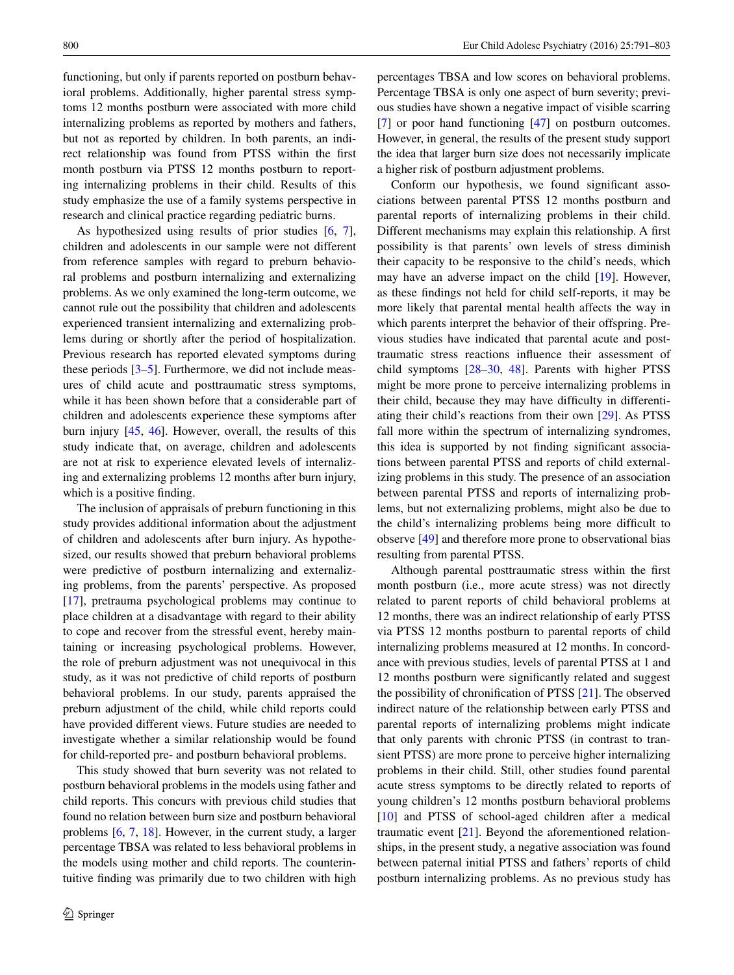functioning, but only if parents reported on postburn behavioral problems. Additionally, higher parental stress symptoms 12 months postburn were associated with more child internalizing problems as reported by mothers and fathers, but not as reported by children. In both parents, an indirect relationship was found from PTSS within the first month postburn via PTSS 12 months postburn to reporting internalizing problems in their child. Results of this study emphasize the use of a family systems perspective in research and clinical practice regarding pediatric burns.

As hypothesized using results of prior studies [\[6](#page-11-5), [7](#page-11-14)], children and adolescents in our sample were not different from reference samples with regard to preburn behavioral problems and postburn internalizing and externalizing problems. As we only examined the long-term outcome, we cannot rule out the possibility that children and adolescents experienced transient internalizing and externalizing problems during or shortly after the period of hospitalization. Previous research has reported elevated symptoms during these periods  $[3-5]$  $[3-5]$ . Furthermore, we did not include measures of child acute and posttraumatic stress symptoms, while it has been shown before that a considerable part of children and adolescents experience these symptoms after burn injury [\[45](#page-12-6), [46\]](#page-12-7). However, overall, the results of this study indicate that, on average, children and adolescents are not at risk to experience elevated levels of internalizing and externalizing problems 12 months after burn injury, which is a positive finding.

The inclusion of appraisals of preburn functioning in this study provides additional information about the adjustment of children and adolescents after burn injury. As hypothesized, our results showed that preburn behavioral problems were predictive of postburn internalizing and externalizing problems, from the parents' perspective. As proposed [\[17](#page-11-13)], pretrauma psychological problems may continue to place children at a disadvantage with regard to their ability to cope and recover from the stressful event, hereby maintaining or increasing psychological problems. However, the role of preburn adjustment was not unequivocal in this study, as it was not predictive of child reports of postburn behavioral problems. In our study, parents appraised the preburn adjustment of the child, while child reports could have provided different views. Future studies are needed to investigate whether a similar relationship would be found for child-reported pre- and postburn behavioral problems.

This study showed that burn severity was not related to postburn behavioral problems in the models using father and child reports. This concurs with previous child studies that found no relation between burn size and postburn behavioral problems [\[6](#page-11-5), [7,](#page-11-14) [18](#page-11-15)]. However, in the current study, a larger percentage TBSA was related to less behavioral problems in the models using mother and child reports. The counterintuitive finding was primarily due to two children with high

percentages TBSA and low scores on behavioral problems. Percentage TBSA is only one aspect of burn severity; previous studies have shown a negative impact of visible scarring [\[7](#page-11-14)] or poor hand functioning [\[47](#page-12-8)] on postburn outcomes. However, in general, the results of the present study support the idea that larger burn size does not necessarily implicate a higher risk of postburn adjustment problems.

Conform our hypothesis, we found significant associations between parental PTSS 12 months postburn and parental reports of internalizing problems in their child. Different mechanisms may explain this relationship. A first possibility is that parents' own levels of stress diminish their capacity to be responsive to the child's needs, which may have an adverse impact on the child [\[19](#page-11-16)]. However, as these findings not held for child self-reports, it may be more likely that parental mental health affects the way in which parents interpret the behavior of their offspring. Previous studies have indicated that parental acute and posttraumatic stress reactions influence their assessment of child symptoms [[28–](#page-11-25)[30,](#page-11-27) [48](#page-12-9)]. Parents with higher PTSS might be more prone to perceive internalizing problems in their child, because they may have difficulty in differentiating their child's reactions from their own [\[29](#page-11-26)]. As PTSS fall more within the spectrum of internalizing syndromes, this idea is supported by not finding significant associations between parental PTSS and reports of child externalizing problems in this study. The presence of an association between parental PTSS and reports of internalizing problems, but not externalizing problems, might also be due to the child's internalizing problems being more difficult to observe [[49\]](#page-12-10) and therefore more prone to observational bias resulting from parental PTSS.

Although parental posttraumatic stress within the first month postburn (i.e., more acute stress) was not directly related to parent reports of child behavioral problems at 12 months, there was an indirect relationship of early PTSS via PTSS 12 months postburn to parental reports of child internalizing problems measured at 12 months. In concordance with previous studies, levels of parental PTSS at 1 and 12 months postburn were significantly related and suggest the possibility of chronification of PTSS [\[21](#page-11-18)]. The observed indirect nature of the relationship between early PTSS and parental reports of internalizing problems might indicate that only parents with chronic PTSS (in contrast to transient PTSS) are more prone to perceive higher internalizing problems in their child. Still, other studies found parental acute stress symptoms to be directly related to reports of young children's 12 months postburn behavioral problems [\[10](#page-11-7)] and PTSS of school-aged children after a medical traumatic event [\[21](#page-11-18)]. Beyond the aforementioned relationships, in the present study, a negative association was found between paternal initial PTSS and fathers' reports of child postburn internalizing problems. As no previous study has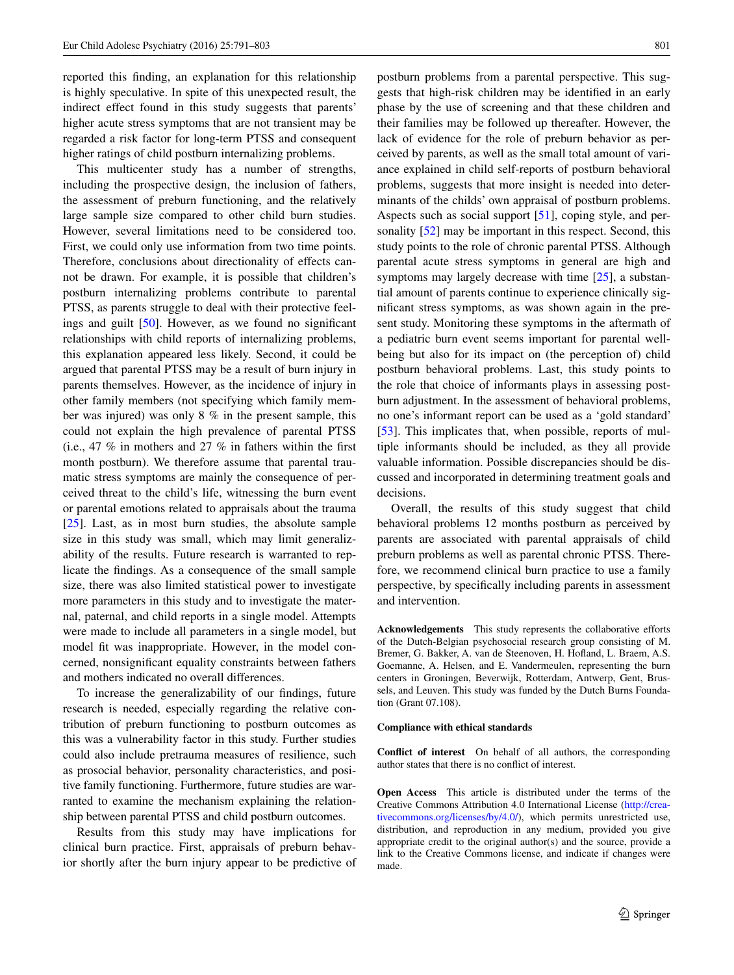reported this finding, an explanation for this relationship is highly speculative. In spite of this unexpected result, the indirect effect found in this study suggests that parents' higher acute stress symptoms that are not transient may be regarded a risk factor for long-term PTSS and consequent higher ratings of child postburn internalizing problems.

This multicenter study has a number of strengths, including the prospective design, the inclusion of fathers, the assessment of preburn functioning, and the relatively large sample size compared to other child burn studies. However, several limitations need to be considered too. First, we could only use information from two time points. Therefore, conclusions about directionality of effects cannot be drawn. For example, it is possible that children's postburn internalizing problems contribute to parental PTSS, as parents struggle to deal with their protective feelings and guilt [[50\]](#page-12-11). However, as we found no significant relationships with child reports of internalizing problems, this explanation appeared less likely. Second, it could be argued that parental PTSS may be a result of burn injury in parents themselves. However, as the incidence of injury in other family members (not specifying which family member was injured) was only 8 % in the present sample, this could not explain the high prevalence of parental PTSS (i.e., 47 % in mothers and 27 % in fathers within the first month postburn). We therefore assume that parental traumatic stress symptoms are mainly the consequence of perceived threat to the child's life, witnessing the burn event or parental emotions related to appraisals about the trauma  $[25]$  $[25]$ . Last, as in most burn studies, the absolute sample size in this study was small, which may limit generalizability of the results. Future research is warranted to replicate the findings. As a consequence of the small sample size, there was also limited statistical power to investigate more parameters in this study and to investigate the maternal, paternal, and child reports in a single model. Attempts were made to include all parameters in a single model, but model fit was inappropriate. However, in the model concerned, nonsignificant equality constraints between fathers and mothers indicated no overall differences.

To increase the generalizability of our findings, future research is needed, especially regarding the relative contribution of preburn functioning to postburn outcomes as this was a vulnerability factor in this study. Further studies could also include pretrauma measures of resilience, such as prosocial behavior, personality characteristics, and positive family functioning. Furthermore, future studies are warranted to examine the mechanism explaining the relationship between parental PTSS and child postburn outcomes.

Results from this study may have implications for clinical burn practice. First, appraisals of preburn behavior shortly after the burn injury appear to be predictive of

postburn problems from a parental perspective. This suggests that high-risk children may be identified in an early phase by the use of screening and that these children and their families may be followed up thereafter. However, the lack of evidence for the role of preburn behavior as perceived by parents, as well as the small total amount of variance explained in child self-reports of postburn behavioral problems, suggests that more insight is needed into determinants of the childs' own appraisal of postburn problems. Aspects such as social support [[51\]](#page-12-12), coping style, and per-sonality [[52\]](#page-12-13) may be important in this respect. Second, this study points to the role of chronic parental PTSS. Although parental acute stress symptoms in general are high and symptoms may largely decrease with time [\[25](#page-11-22)], a substantial amount of parents continue to experience clinically significant stress symptoms, as was shown again in the present study. Monitoring these symptoms in the aftermath of a pediatric burn event seems important for parental wellbeing but also for its impact on (the perception of) child postburn behavioral problems. Last, this study points to the role that choice of informants plays in assessing postburn adjustment. In the assessment of behavioral problems, no one's informant report can be used as a 'gold standard' [\[53](#page-12-14)]. This implicates that, when possible, reports of multiple informants should be included, as they all provide valuable information. Possible discrepancies should be discussed and incorporated in determining treatment goals and decisions.

Overall, the results of this study suggest that child behavioral problems 12 months postburn as perceived by parents are associated with parental appraisals of child preburn problems as well as parental chronic PTSS. Therefore, we recommend clinical burn practice to use a family perspective, by specifically including parents in assessment and intervention.

**Acknowledgements** This study represents the collaborative efforts of the Dutch-Belgian psychosocial research group consisting of M. Bremer, G. Bakker, A. van de Steenoven, H. Hofland, L. Braem, A.S. Goemanne, A. Helsen, and E. Vandermeulen, representing the burn centers in Groningen, Beverwijk, Rotterdam, Antwerp, Gent, Brussels, and Leuven. This study was funded by the Dutch Burns Foundation (Grant 07.108).

#### **Compliance with ethical standards**

**Conflict of interest** On behalf of all authors, the corresponding author states that there is no conflict of interest.

**Open Access** This article is distributed under the terms of the Creative Commons Attribution 4.0 International License ([http://crea](http://creativecommons.org/licenses/by/4.0/)[tivecommons.org/licenses/by/4.0/](http://creativecommons.org/licenses/by/4.0/)), which permits unrestricted use, distribution, and reproduction in any medium, provided you give appropriate credit to the original author(s) and the source, provide a link to the Creative Commons license, and indicate if changes were made.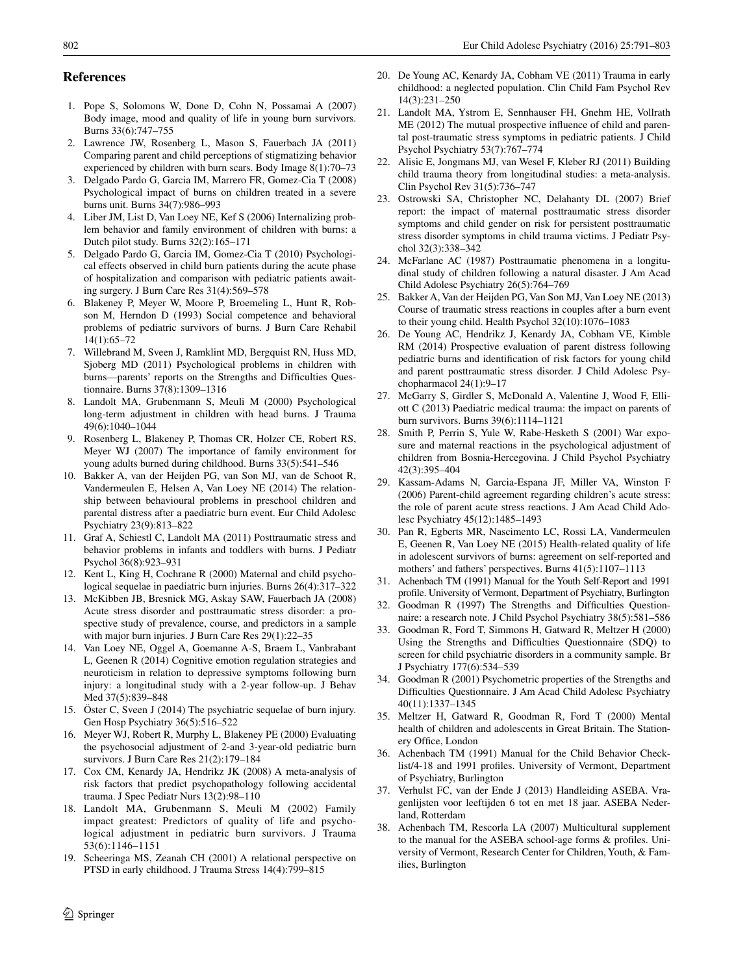### **References**

- <span id="page-11-0"></span>1. Pope S, Solomons W, Done D, Cohn N, Possamai A (2007) Body image, mood and quality of life in young burn survivors. Burns 33(6):747–755
- <span id="page-11-1"></span>2. Lawrence JW, Rosenberg L, Mason S, Fauerbach JA (2011) Comparing parent and child perceptions of stigmatizing behavior experienced by children with burn scars. Body Image 8(1):70–73
- <span id="page-11-2"></span>3. Delgado Pardo G, Garcia IM, Marrero FR, Gomez-Cia T (2008) Psychological impact of burns on children treated in a severe burns unit. Burns 34(7):986–993
- <span id="page-11-3"></span>4. Liber JM, List D, Van Loey NE, Kef S (2006) Internalizing problem behavior and family environment of children with burns: a Dutch pilot study. Burns 32(2):165–171
- <span id="page-11-4"></span>5. Delgado Pardo G, Garcia IM, Gomez-Cia T (2010) Psychological effects observed in child burn patients during the acute phase of hospitalization and comparison with pediatric patients awaiting surgery. J Burn Care Res 31(4):569–578
- <span id="page-11-5"></span>6. Blakeney P, Meyer W, Moore P, Broemeling L, Hunt R, Robson M, Herndon D (1993) Social competence and behavioral problems of pediatric survivors of burns. J Burn Care Rehabil 14(1):65–72
- <span id="page-11-14"></span>7. Willebrand M, Sveen J, Ramklint MD, Bergquist RN, Huss MD, Sjoberg MD (2011) Psychological problems in children with burns—parents' reports on the Strengths and Difficulties Questionnaire. Burns 37(8):1309–1316
- 8. Landolt MA, Grubenmann S, Meuli M (2000) Psychological long-term adjustment in children with head burns. J Trauma 49(6):1040–1044
- <span id="page-11-6"></span>9. Rosenberg L, Blakeney P, Thomas CR, Holzer CE, Robert RS, Meyer WJ (2007) The importance of family environment for young adults burned during childhood. Burns 33(5):541–546
- <span id="page-11-7"></span>10. Bakker A, van der Heijden PG, van Son MJ, van de Schoot R, Vandermeulen E, Helsen A, Van Loey NE (2014) The relationship between behavioural problems in preschool children and parental distress after a paediatric burn event. Eur Child Adolesc Psychiatry 23(9):813–822
- 11. Graf A, Schiestl C, Landolt MA (2011) Posttraumatic stress and behavior problems in infants and toddlers with burns. J Pediatr Psychol 36(8):923–931
- <span id="page-11-8"></span>12. Kent L, King H, Cochrane R (2000) Maternal and child psychological sequelae in paediatric burn injuries. Burns 26(4):317–322
- <span id="page-11-9"></span>13. McKibben JB, Bresnick MG, Askay SAW, Fauerbach JA (2008) Acute stress disorder and posttraumatic stress disorder: a prospective study of prevalence, course, and predictors in a sample with major burn injuries. J Burn Care Res 29(1):22–35
- <span id="page-11-10"></span>14. Van Loey NE, Oggel A, Goemanne A-S, Braem L, Vanbrabant L, Geenen R (2014) Cognitive emotion regulation strategies and neuroticism in relation to depressive symptoms following burn injury: a longitudinal study with a 2-year follow-up. J Behav Med 37(5):839–848
- <span id="page-11-11"></span>15. Öster C, Sveen J (2014) The psychiatric sequelae of burn injury. Gen Hosp Psychiatry 36(5):516–522
- <span id="page-11-12"></span>16. Meyer WJ, Robert R, Murphy L, Blakeney PE (2000) Evaluating the psychosocial adjustment of 2-and 3-year-old pediatric burn survivors. J Burn Care Res 21(2):179–184
- <span id="page-11-13"></span>17. Cox CM, Kenardy JA, Hendrikz JK (2008) A meta-analysis of risk factors that predict psychopathology following accidental trauma. J Spec Pediatr Nurs 13(2):98–110
- <span id="page-11-15"></span>18. Landolt MA, Grubenmann S, Meuli M (2002) Family impact greatest: Predictors of quality of life and psychological adjustment in pediatric burn survivors. J Trauma 53(6):1146–1151
- <span id="page-11-16"></span>19. Scheeringa MS, Zeanah CH (2001) A relational perspective on PTSD in early childhood. J Trauma Stress 14(4):799–815
- <span id="page-11-17"></span>20. De Young AC, Kenardy JA, Cobham VE (2011) Trauma in early childhood: a neglected population. Clin Child Fam Psychol Rev 14(3):231–250
- <span id="page-11-18"></span>21. Landolt MA, Ystrom E, Sennhauser FH, Gnehm HE, Vollrath ME (2012) The mutual prospective influence of child and parental post-traumatic stress symptoms in pediatric patients. J Child Psychol Psychiatry 53(7):767–774
- <span id="page-11-19"></span>22. Alisic E, Jongmans MJ, van Wesel F, Kleber RJ (2011) Building child trauma theory from longitudinal studies: a meta-analysis. Clin Psychol Rev 31(5):736–747
- <span id="page-11-20"></span>23. Ostrowski SA, Christopher NC, Delahanty DL (2007) Brief report: the impact of maternal posttraumatic stress disorder symptoms and child gender on risk for persistent posttraumatic stress disorder symptoms in child trauma victims. J Pediatr Psychol 32(3):338–342
- <span id="page-11-21"></span>24. McFarlane AC (1987) Posttraumatic phenomena in a longitudinal study of children following a natural disaster. J Am Acad Child Adolesc Psychiatry 26(5):764–769
- <span id="page-11-22"></span>25. Bakker A, Van der Heijden PG, Van Son MJ, Van Loey NE (2013) Course of traumatic stress reactions in couples after a burn event to their young child. Health Psychol 32(10):1076–1083
- <span id="page-11-23"></span>26. De Young AC, Hendrikz J, Kenardy JA, Cobham VE, Kimble RM (2014) Prospective evaluation of parent distress following pediatric burns and identification of risk factors for young child and parent posttraumatic stress disorder. J Child Adolesc Psychopharmacol 24(1):9–17
- <span id="page-11-24"></span>27. McGarry S, Girdler S, McDonald A, Valentine J, Wood F, Elliott C (2013) Paediatric medical trauma: the impact on parents of burn survivors. Burns 39(6):1114–1121
- <span id="page-11-25"></span>28. Smith P, Perrin S, Yule W, Rabe-Hesketh S (2001) War exposure and maternal reactions in the psychological adjustment of children from Bosnia-Hercegovina. J Child Psychol Psychiatry 42(3):395–404
- <span id="page-11-26"></span>29. Kassam-Adams N, Garcia-Espana JF, Miller VA, Winston F (2006) Parent-child agreement regarding children's acute stress: the role of parent acute stress reactions. J Am Acad Child Adolesc Psychiatry 45(12):1485–1493
- <span id="page-11-27"></span>30. Pan R, Egberts MR, Nascimento LC, Rossi LA, Vandermeulen E, Geenen R, Van Loey NE (2015) Health-related quality of life in adolescent survivors of burns: agreement on self-reported and mothers' and fathers' perspectives. Burns 41(5):1107–1113
- <span id="page-11-28"></span>31. Achenbach TM (1991) Manual for the Youth Self-Report and 1991 profile. University of Vermont, Department of Psychiatry, Burlington
- <span id="page-11-29"></span>32. Goodman R (1997) The Strengths and Difficulties Questionnaire: a research note. J Child Psychol Psychiatry 38(5):581–586
- <span id="page-11-30"></span>33. Goodman R, Ford T, Simmons H, Gatward R, Meltzer H (2000) Using the Strengths and Difficulties Questionnaire (SDQ) to screen for child psychiatric disorders in a community sample. Br J Psychiatry 177(6):534–539
- <span id="page-11-31"></span>34. Goodman R (2001) Psychometric properties of the Strengths and Difficulties Questionnaire. J Am Acad Child Adolesc Psychiatry 40(11):1337–1345
- <span id="page-11-32"></span>35. Meltzer H, Gatward R, Goodman R, Ford T (2000) Mental health of children and adolescents in Great Britain. The Stationery Office, London
- <span id="page-11-33"></span>36. Achenbach TM (1991) Manual for the Child Behavior Checklist/4-18 and 1991 profiles. University of Vermont, Department of Psychiatry, Burlington
- <span id="page-11-34"></span>37. Verhulst FC, van der Ende J (2013) Handleiding ASEBA. Vragenlijsten voor leeftijden 6 tot en met 18 jaar. ASEBA Nederland, Rotterdam
- <span id="page-11-35"></span>38. Achenbach TM, Rescorla LA (2007) Multicultural supplement to the manual for the ASEBA school-age forms & profiles. University of Vermont, Research Center for Children, Youth, & Families, Burlington